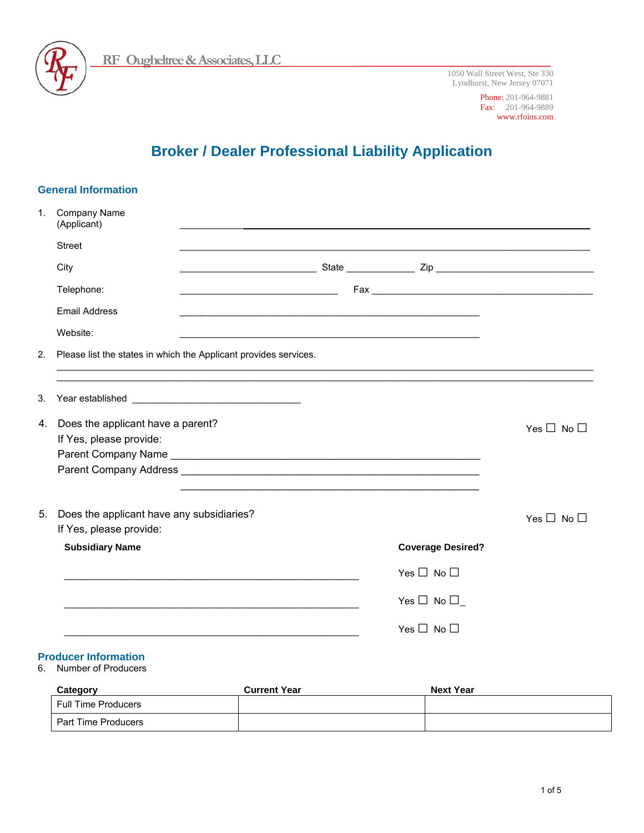

1050 Wall Street West, Ste 330 Lyndhurst, New Jersey 07071

> Phone: 201-964-9881 Fax: 201-964-9889 www.rfoins.com

# **Broker / Dealer Professional Liability Application**

|    | <b>General Information</b>                                           |                                                                                                                       |                      |                          |                      |
|----|----------------------------------------------------------------------|-----------------------------------------------------------------------------------------------------------------------|----------------------|--------------------------|----------------------|
| 1. | Company Name<br>(Applicant)                                          |                                                                                                                       |                      |                          |                      |
|    | <b>Street</b>                                                        |                                                                                                                       |                      |                          |                      |
|    | City                                                                 |                                                                                                                       |                      |                          |                      |
|    | Telephone:                                                           | <u> 1989 - Johann Barbara, martin da basar da basar da basar da basar da basar da basar da basar da basar da basa</u> |                      |                          |                      |
|    | <b>Email Address</b>                                                 |                                                                                                                       |                      |                          |                      |
|    | Website:                                                             |                                                                                                                       |                      |                          |                      |
| 2. | Please list the states in which the Applicant provides services.     |                                                                                                                       |                      |                          |                      |
| 3. |                                                                      |                                                                                                                       |                      |                          |                      |
|    | 4. Does the applicant have a parent?<br>If Yes, please provide:      |                                                                                                                       |                      |                          | Yes $\Box$ No $\Box$ |
| 5. | Does the applicant have any subsidiaries?<br>If Yes, please provide: |                                                                                                                       |                      |                          | Yes $\Box$ No $\Box$ |
|    | <b>Subsidiary Name</b>                                               |                                                                                                                       |                      | <b>Coverage Desired?</b> |                      |
|    |                                                                      |                                                                                                                       | Yes $\Box$ No $\Box$ |                          |                      |
|    |                                                                      |                                                                                                                       | Yes $\Box$ No $\Box$ |                          |                      |
|    |                                                                      |                                                                                                                       | Yes $\Box$ No $\Box$ |                          |                      |
| 6. | <b>Producer Information</b><br>Number of Producers                   |                                                                                                                       |                      |                          |                      |
|    | Category                                                             | <b>Current Year</b>                                                                                                   |                      | <b>Next Year</b>         |                      |
|    | <b>Full Time Producers</b>                                           |                                                                                                                       |                      |                          |                      |
|    | Part Time Producers                                                  |                                                                                                                       |                      |                          |                      |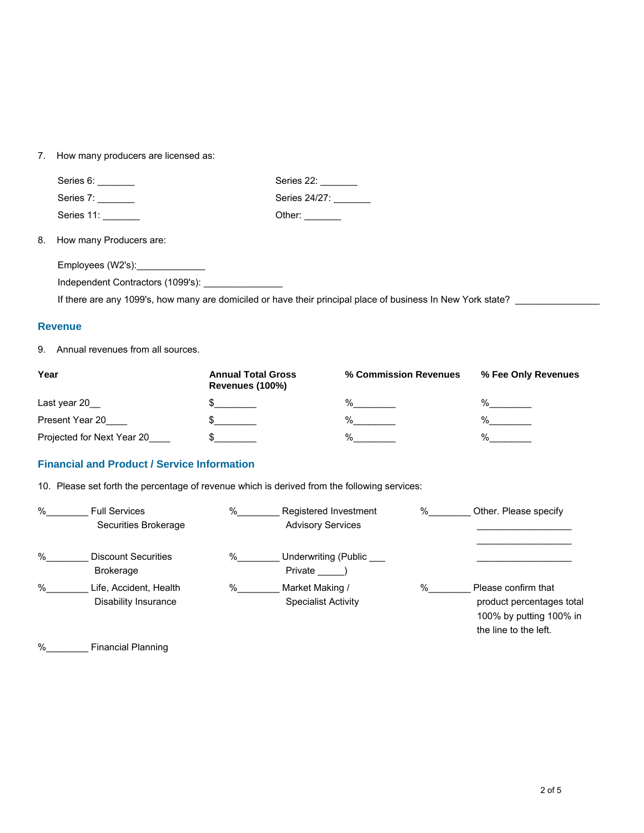## 7. How many producers are licensed as:

|                                                                                                              | Series 6:                                         | Series 22:            |  |
|--------------------------------------------------------------------------------------------------------------|---------------------------------------------------|-----------------------|--|
|                                                                                                              | Series 7: _______                                 | Series 24/27: _______ |  |
|                                                                                                              | Series 11: _______                                | Other: $\_\_$         |  |
|                                                                                                              | 8. How many Producers are:                        |                       |  |
|                                                                                                              | Employees (W2's): ______________                  |                       |  |
|                                                                                                              | Independent Contractors (1099's): _______________ |                       |  |
| If there are any 1099's, how many are domiciled or have their principal place of business In New York state? |                                                   |                       |  |

#### **Revenue**

9. Annual revenues from all sources.

| Year                       | <b>Annual Total Gross</b><br>Revenues (100%) | % Commission Revenues | % Fee Only Revenues |
|----------------------------|----------------------------------------------|-----------------------|---------------------|
| Last year 20               |                                              | $\frac{0}{6}$         | $\frac{0}{6}$       |
| Present Year 20            |                                              | $\frac{0}{0}$         | %                   |
| Projected for Next Year 20 |                                              | %                     | %                   |

## **Financial and Product / Service Information**

10. Please set forth the percentage of revenue which is derived from the following services:

| % | <b>Full Services</b><br>Securities Brokerage   | %    | Registered Investment<br><b>Advisory Services</b> | $\%$ | Other. Please specify                                                                                |
|---|------------------------------------------------|------|---------------------------------------------------|------|------------------------------------------------------------------------------------------------------|
| % | <b>Discount Securities</b><br><b>Brokerage</b> | $\%$ | Underwriting (Public<br>Private                   |      |                                                                                                      |
| % | Life, Accident, Health<br>Disability Insurance | $\%$ | Market Making /<br>Specialist Activity            | $\%$ | Please confirm that<br>product percentages total<br>100% by putting 100% in<br>the line to the left. |

%\_\_\_\_\_\_\_\_ Financial Planning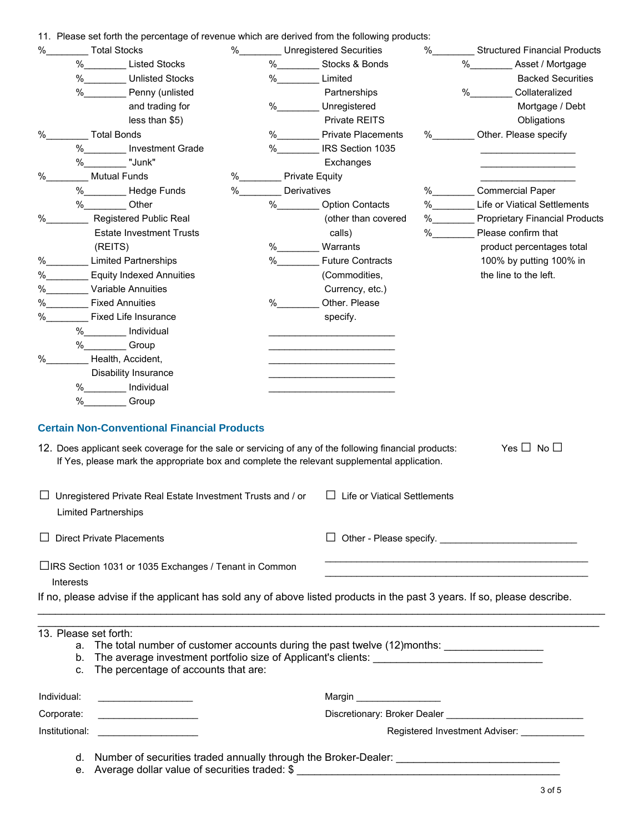11. Please set forth the percentage of revenue which are derived from the following products:

| $\%$             | ri. Piease set ionni nie percentage or revenue which are derived from the following products.<br><b>Total Stocks</b>                                                                                                                     | $\%$ |                | Unregistered Securities                                                                                               | $\%$ | <b>Structured Financial Products</b>                                                                                                                                                                                           |
|------------------|------------------------------------------------------------------------------------------------------------------------------------------------------------------------------------------------------------------------------------------|------|----------------|-----------------------------------------------------------------------------------------------------------------------|------|--------------------------------------------------------------------------------------------------------------------------------------------------------------------------------------------------------------------------------|
| %                | Listed Stocks                                                                                                                                                                                                                            |      |                | % Stocks & Bonds                                                                                                      |      | $\%$<br>Asset / Mortgage                                                                                                                                                                                                       |
|                  | $\%$<br><b>Unlisted Stocks</b>                                                                                                                                                                                                           |      | $\%$           | Limited                                                                                                               |      | <b>Backed Securities</b>                                                                                                                                                                                                       |
|                  | $\%$<br>Penny (unlisted                                                                                                                                                                                                                  |      |                | Partnerships                                                                                                          |      | $\%$<br>Collateralized                                                                                                                                                                                                         |
|                  | and trading for                                                                                                                                                                                                                          | %    |                | Unregistered                                                                                                          |      | Mortgage / Debt                                                                                                                                                                                                                |
|                  | less than \$5)                                                                                                                                                                                                                           |      |                | Private REITS                                                                                                         |      | Obligations                                                                                                                                                                                                                    |
| $\%$             | <b>Total Bonds</b>                                                                                                                                                                                                                       |      |                | <b>Private Placements</b>                                                                                             | %    | Other. Please specify                                                                                                                                                                                                          |
|                  | % ______ Investment Grade                                                                                                                                                                                                                |      | %              | IRS Section 1035                                                                                                      |      |                                                                                                                                                                                                                                |
|                  | "Junk"<br>%                                                                                                                                                                                                                              |      |                | Exchanges                                                                                                             |      |                                                                                                                                                                                                                                |
| $\%$             | <b>Mutual Funds</b>                                                                                                                                                                                                                      | %    | Private Equity |                                                                                                                       |      |                                                                                                                                                                                                                                |
|                  | %___________Hedge Funds                                                                                                                                                                                                                  | %    | Derivatives    |                                                                                                                       | %    | <b>Commercial Paper</b>                                                                                                                                                                                                        |
|                  | % Other                                                                                                                                                                                                                                  |      | %              | <b>Option Contacts</b>                                                                                                | %    | Life or Viatical Settlements                                                                                                                                                                                                   |
| $\%$             | <b>Registered Public Real</b>                                                                                                                                                                                                            |      |                | (other than covered                                                                                                   | %    | <b>Proprietary Financial Products</b>                                                                                                                                                                                          |
|                  | <b>Estate Investment Trusts</b>                                                                                                                                                                                                          |      |                | calls)                                                                                                                | %    | Please confirm that                                                                                                                                                                                                            |
|                  | (REITS)                                                                                                                                                                                                                                  |      | %              | Warrants                                                                                                              |      | product percentages total                                                                                                                                                                                                      |
| %                | <b>Limited Partnerships</b>                                                                                                                                                                                                              |      | $\%$           | <b>Future Contracts</b>                                                                                               |      | 100% by putting 100% in                                                                                                                                                                                                        |
| %                | <b>Equity Indexed Annuities</b>                                                                                                                                                                                                          |      |                | (Commodities,                                                                                                         |      | the line to the left.                                                                                                                                                                                                          |
| %                | Variable Annuities                                                                                                                                                                                                                       |      |                | Currency, etc.)                                                                                                       |      |                                                                                                                                                                                                                                |
| %                | <b>Fixed Annuities</b>                                                                                                                                                                                                                   | %    |                | Other. Please                                                                                                         |      |                                                                                                                                                                                                                                |
| %                | <b>Fixed Life Insurance</b>                                                                                                                                                                                                              |      |                | specify.                                                                                                              |      |                                                                                                                                                                                                                                |
|                  | % _______ Individual                                                                                                                                                                                                                     |      |                |                                                                                                                       |      |                                                                                                                                                                                                                                |
|                  | % Group                                                                                                                                                                                                                                  |      |                |                                                                                                                       |      |                                                                                                                                                                                                                                |
| %                | Health, Accident,                                                                                                                                                                                                                        |      |                | <u> 1980 - Johann John Stein, markin fan it ferstjer fan it ferstjer fan it ferstjer fan it ferstjer fan it fers</u>  |      |                                                                                                                                                                                                                                |
|                  | Disability Insurance                                                                                                                                                                                                                     |      |                |                                                                                                                       |      |                                                                                                                                                                                                                                |
|                  |                                                                                                                                                                                                                                          |      |                | <u> 1980 - Johann Barbara, martin amerikan basar dan berasal dalam basar dalam basar dalam basar dalam basar dala</u> |      |                                                                                                                                                                                                                                |
|                  | % Individual<br>$\%$<br>Group                                                                                                                                                                                                            |      |                |                                                                                                                       |      |                                                                                                                                                                                                                                |
|                  | 12. Does applicant seek coverage for the sale or servicing of any of the following financial products:<br>If Yes, please mark the appropriate box and complete the relevant supplemental application.                                    |      |                |                                                                                                                       |      | Yes $\Box$ No $\Box$                                                                                                                                                                                                           |
|                  | Unregistered Private Real Estate Investment Trusts and / or<br><b>Limited Partnerships</b>                                                                                                                                               |      |                | $\Box$ Life or Viatical Settlements                                                                                   |      |                                                                                                                                                                                                                                |
|                  | <b>Direct Private Placements</b>                                                                                                                                                                                                         |      |                |                                                                                                                       |      | Other - Please specify.                                                                                                                                                                                                        |
|                  | □IRS Section 1031 or 1035 Exchanges / Tenant in Common                                                                                                                                                                                   |      |                |                                                                                                                       |      |                                                                                                                                                                                                                                |
| <b>Interests</b> |                                                                                                                                                                                                                                          |      |                |                                                                                                                       |      |                                                                                                                                                                                                                                |
|                  | If no, please advise if the applicant has sold any of above listed products in the past 3 years. If so, please describe.                                                                                                                 |      |                |                                                                                                                       |      |                                                                                                                                                                                                                                |
|                  |                                                                                                                                                                                                                                          |      |                |                                                                                                                       |      |                                                                                                                                                                                                                                |
| C.               | 13. Please set forth:<br>a. The total number of customer accounts during the past twelve (12)months: _______________________<br>b. The average investment portfolio size of Applicant's clients:<br>The percentage of accounts that are: |      |                |                                                                                                                       |      |                                                                                                                                                                                                                                |
| Individual:      |                                                                                                                                                                                                                                          |      |                |                                                                                                                       |      |                                                                                                                                                                                                                                |
| Corporate:       |                                                                                                                                                                                                                                          |      |                |                                                                                                                       |      | Discretionary: Broker Dealer North American System of The Control of The Control of The Control of The Control of The Control of The Control of The Control of The Control of The Control of The Control of The Control of The |
| Institutional:   | <u> 1986 - John Stein, Amerikaansk politiker (</u>                                                                                                                                                                                       |      |                |                                                                                                                       |      | Registered Investment Adviser: _____________                                                                                                                                                                                   |
|                  |                                                                                                                                                                                                                                          |      |                |                                                                                                                       |      |                                                                                                                                                                                                                                |
|                  | d. Number of securities traded annually through the Broker-Dealer: ________________________________                                                                                                                                      |      |                |                                                                                                                       |      |                                                                                                                                                                                                                                |

e. Average dollar value of securities traded: \$ \_\_\_\_\_\_\_\_\_\_\_\_\_\_\_\_\_\_\_\_\_\_\_\_\_\_\_\_\_\_\_\_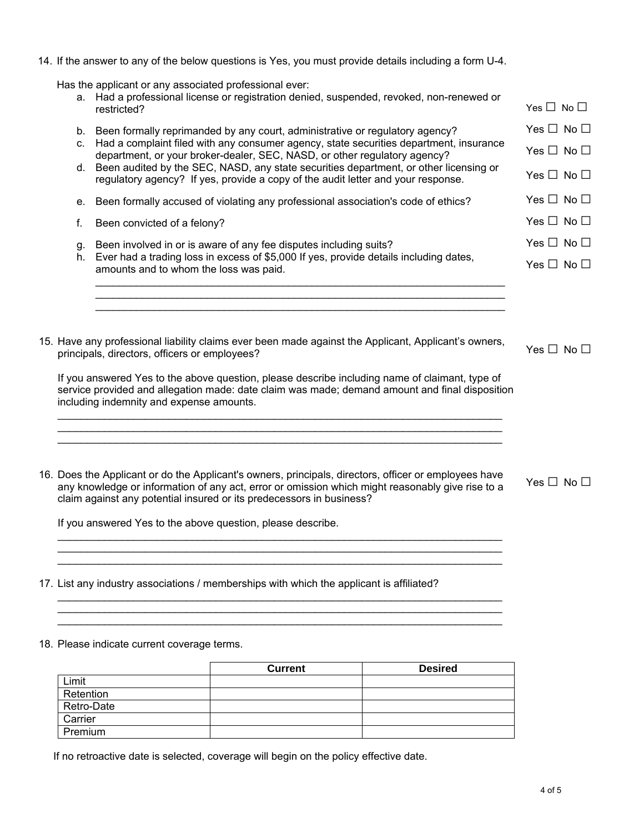14. If the answer to any of the below questions is Yes, you must provide details including a form U-4.

Has the applicant or any associated professional ever:

- a. Had a professional license or registration denied, suspended, revoked, non-renewed or  $\Box$  No  $\Box$  no  $\Box$
- b. Been formally reprimanded by any court, administrative or regulatory agency? Yes  $\Box$  No  $\Box$
- c. Had a complaint filed with any consumer agency, state securities department, insurance department, or your broker-dealer, SEC, NASD, or other regulatory agency? Yes  $\Box$  No  $\Box$
- d. Been audited by the SEC, NASD, any state securities department, or other licensing or regulatory agency? If yes, provide a copy of the audit letter and your response. Yes  $\Box$  No  $\Box$
- e. Been formally accused of violating any professional association's code of ethics? Yes  $\Box$  No  $\Box$
- f. Been convicted of a felony?  $\Box$
- g. Been involved in or is aware of any fee disputes including suits? Yes  $\Box$  No  $\Box$
- h. Ever had a trading loss in excess of \$5,000 If yes, provide details including dates, amounts and to whom the loss was paid.

 $\_$  . The contribution of the contribution of the contribution of the contribution of the contribution of the contribution of  $\mathcal{L}_\text{max}$  $\mathcal{L}_\mathcal{L} = \{ \mathcal{L}_\mathcal{L} = \{ \mathcal{L}_\mathcal{L} = \{ \mathcal{L}_\mathcal{L} = \{ \mathcal{L}_\mathcal{L} = \{ \mathcal{L}_\mathcal{L} = \{ \mathcal{L}_\mathcal{L} = \{ \mathcal{L}_\mathcal{L} = \{ \mathcal{L}_\mathcal{L} = \{ \mathcal{L}_\mathcal{L} = \{ \mathcal{L}_\mathcal{L} = \{ \mathcal{L}_\mathcal{L} = \{ \mathcal{L}_\mathcal{L} = \{ \mathcal{L}_\mathcal{L} = \{ \mathcal{L}_\mathcal{$ \_\_\_\_\_\_\_\_\_\_\_\_\_\_\_\_\_\_\_\_\_\_\_\_\_\_\_\_\_\_\_\_\_\_\_\_\_\_\_\_\_\_\_\_\_\_\_\_\_\_\_\_\_\_\_\_\_\_\_\_\_\_\_\_\_\_\_\_\_\_

- $Yes \Box No \Box$
- 15. Have any professional liability claims ever been made against the Applicant, Applicant's owners, Yes  $\Box$  No  $\Box$ <br>principals, directors, officers or employees?

 $Yes \Box No \Box$ 

If you answered Yes to the above question, please describe including name of claimant, type of service provided and allegation made: date claim was made; demand amount and final disposition including indemnity and expense amounts.

\_\_\_\_\_\_\_\_\_\_\_\_\_\_\_\_\_\_\_\_\_\_\_\_\_\_\_\_\_\_\_\_\_\_\_\_\_\_\_\_\_\_\_\_\_\_\_\_\_\_\_\_\_\_\_\_\_\_\_\_\_\_\_\_\_\_\_\_\_\_\_\_\_\_\_\_ \_\_\_\_\_\_\_\_\_\_\_\_\_\_\_\_\_\_\_\_\_\_\_\_\_\_\_\_\_\_\_\_\_\_\_\_\_\_\_\_\_\_\_\_\_\_\_\_\_\_\_\_\_\_\_\_\_\_\_\_\_\_\_\_\_\_\_\_\_\_\_\_\_\_\_\_  $\mathcal{L}_\mathcal{L} = \{ \mathcal{L}_\mathcal{L} = \{ \mathcal{L}_\mathcal{L} = \{ \mathcal{L}_\mathcal{L} = \{ \mathcal{L}_\mathcal{L} = \{ \mathcal{L}_\mathcal{L} = \{ \mathcal{L}_\mathcal{L} = \{ \mathcal{L}_\mathcal{L} = \{ \mathcal{L}_\mathcal{L} = \{ \mathcal{L}_\mathcal{L} = \{ \mathcal{L}_\mathcal{L} = \{ \mathcal{L}_\mathcal{L} = \{ \mathcal{L}_\mathcal{L} = \{ \mathcal{L}_\mathcal{L} = \{ \mathcal{L}_\mathcal{$ 

16. Does the Applicant or do the Applicant's owners, principals, directors, officer or employees have any knowledge or information of any act, error or omission which might reasonably give rise to a claim against any potential insured or its predecessors in business?

 $\mathcal{L}_\mathcal{L}$  , and the set of the set of the set of the set of the set of the set of the set of the set of the set of the set of the set of the set of the set of the set of the set of the set of the set of the set of th  $\mathcal{L}_\mathcal{L} = \{ \mathcal{L}_\mathcal{L} = \{ \mathcal{L}_\mathcal{L} = \{ \mathcal{L}_\mathcal{L} = \{ \mathcal{L}_\mathcal{L} = \{ \mathcal{L}_\mathcal{L} = \{ \mathcal{L}_\mathcal{L} = \{ \mathcal{L}_\mathcal{L} = \{ \mathcal{L}_\mathcal{L} = \{ \mathcal{L}_\mathcal{L} = \{ \mathcal{L}_\mathcal{L} = \{ \mathcal{L}_\mathcal{L} = \{ \mathcal{L}_\mathcal{L} = \{ \mathcal{L}_\mathcal{L} = \{ \mathcal{L}_\mathcal{$ \_\_\_\_\_\_\_\_\_\_\_\_\_\_\_\_\_\_\_\_\_\_\_\_\_\_\_\_\_\_\_\_\_\_\_\_\_\_\_\_\_\_\_\_\_\_\_\_\_\_\_\_\_\_\_\_\_\_\_\_\_\_\_\_\_\_\_\_\_\_\_\_\_\_\_\_

\_\_\_\_\_\_\_\_\_\_\_\_\_\_\_\_\_\_\_\_\_\_\_\_\_\_\_\_\_\_\_\_\_\_\_\_\_\_\_\_\_\_\_\_\_\_\_\_\_\_\_\_\_\_\_\_\_\_\_\_\_\_\_\_\_\_\_\_\_\_\_\_\_\_\_\_  $\mathcal{L}_\mathcal{L}$  , and the set of the set of the set of the set of the set of the set of the set of the set of the set of the set of the set of the set of the set of the set of the set of the set of the set of the set of th  $\mathcal{L}_\mathcal{L} = \{ \mathcal{L}_\mathcal{L} = \{ \mathcal{L}_\mathcal{L} = \{ \mathcal{L}_\mathcal{L} = \{ \mathcal{L}_\mathcal{L} = \{ \mathcal{L}_\mathcal{L} = \{ \mathcal{L}_\mathcal{L} = \{ \mathcal{L}_\mathcal{L} = \{ \mathcal{L}_\mathcal{L} = \{ \mathcal{L}_\mathcal{L} = \{ \mathcal{L}_\mathcal{L} = \{ \mathcal{L}_\mathcal{L} = \{ \mathcal{L}_\mathcal{L} = \{ \mathcal{L}_\mathcal{L} = \{ \mathcal{L}_\mathcal{$ 

If you answered Yes to the above question, please describe.

- 17. List any industry associations / memberships with which the applicant is affiliated?
- 18. Please indicate current coverage terms.

|            | <b>Current</b> | <b>Desired</b> |
|------------|----------------|----------------|
| Limit      |                |                |
| Retention  |                |                |
| Retro-Date |                |                |
| Carrier    |                |                |
| Premium    |                |                |

If no retroactive date is selected, coverage will begin on the policy effective date.